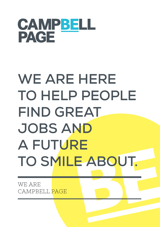

# WE ARE HERE **TO HELP PEOPLE FIND GREAT JOBS AND A FUTURE TO SMILE ABOUT.**

WE ARE CAMPBELL PAGE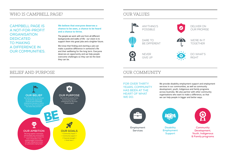# WHO IS CAMPBELL PAGE? OUR VALUES

CAMPBELL PAGE IS A NOT-FOR-PROFIT **ORGANISATION** DEDICATED TO MAKING A DIFFERENCE IN OUR COMMUNITIES.

> FOR OVER THIRTY YEARS, COMMUNITY HAS BEEN AT THE HEART OF WHAT WE DO.

### **We believe that everyone deserves a chance to be seen, a chance to be heard and a chance to thrive.**

The people we work with are from all different backgrounds and walks of life - our vision is to support them into great jobs and a brighter future.

We know that finding and starting a job can make a positive difference in someone's life and their wellbeing for the long term. Everyone deserves an opportunity and we help people overcome challenges so they can be the best they can be.

We provide disability employment support and employment services in our communities, as well as community development, youth, Indigenous and family programs across Australia. We also partner with other community organisations who want to make a difference, so that we can help people in bigger and better ways.



**Disability Employment Support**

# BELIEF AND PURPOSE OUR COMMUNITY

**Community Development, Youth, Indigenous & Family programs**

**Employment Services**